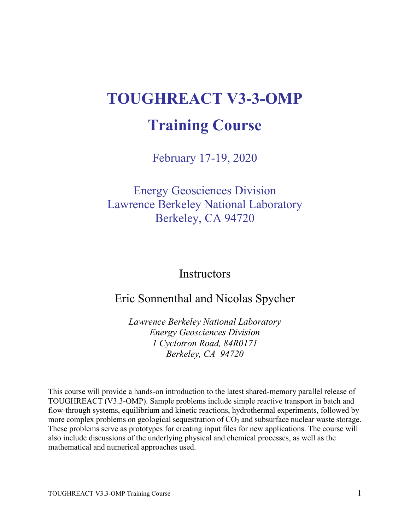# **TOUGHREACT V3-3-OMP Training Course**

February 17-19, 2020

Energy Geosciences Division Lawrence Berkeley National Laboratory Berkeley, CA 94720

**Instructors** 

## Eric Sonnenthal and Nicolas Spycher

*Lawrence Berkeley National Laboratory Energy Geosciences Division 1 Cyclotron Road, 84R0171 Berkeley, CA 94720*

This course will provide a hands-on introduction to the latest shared-memory parallel release of TOUGHREACT (V3.3-OMP). Sample problems include simple reactive transport in batch and flow-through systems, equilibrium and kinetic reactions, hydrothermal experiments, followed by more complex problems on geological sequestration of  $CO<sub>2</sub>$  and subsurface nuclear waste storage. These problems serve as prototypes for creating input files for new applications. The course will also include discussions of the underlying physical and chemical processes, as well as the mathematical and numerical approaches used.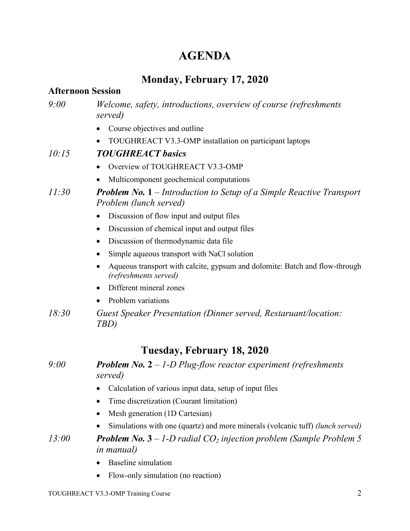## **AGENDA**

## **Monday, February 17, 2020**

#### **Afternoon Session**

#### *9:00 Welcome, safety, introductions, overview of course (refreshments served)*

- Course objectives and outline
- TOUGHREACT V3.3-OMP installation on participant laptops

#### *10:15 TOUGHREACT basics*

- Overview of TOUGHREACT V3.3-OMP
- Multicomponent geochemical computations

#### *11:30 Problem No.* **1** *– Introduction to Setup of a Simple Reactive Transport Problem (lunch served)*

- Discussion of flow input and output files
- Discussion of chemical input and output files
- Discussion of thermodynamic data file
- Simple aqueous transport with NaCl solution
- Aqueous transport with calcite, gypsum and dolomite: Batch and flow-through *(refreshments served)*
- Different mineral zones
- Problem variations
- *18:30 Guest Speaker Presentation (Dinner served, Restaruant/location: TBD)*

## **Tuesday, February 18, 2020**

#### *9:00 Problem No.* **2** *– 1-D Plug-flow reactor experiment (refreshments served)*

- Calculation of various input data, setup of input files
- Time discretization (Courant limitation)
- Mesh generation (1D Cartesian)
- Simulations with one (quartz) and more minerals (volcanic tuff) *(lunch served)*

*13:00 Problem No.* **3** *– 1-D radial CO2 injection problem (Sample Problem 5 in manual)*

- Baseline simulation
- Flow-only simulation (no reaction)